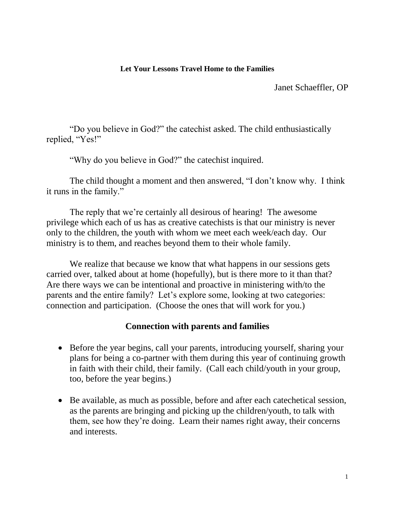## **Let Your Lessons Travel Home to the Families**

Janet Schaeffler, OP

"Do you believe in God?" the catechist asked. The child enthusiastically replied, "Yes!"

"Why do you believe in God?" the catechist inquired.

The child thought a moment and then answered, "I don't know why. I think it runs in the family."

The reply that we're certainly all desirous of hearing! The awesome privilege which each of us has as creative catechists is that our ministry is never only to the children, the youth with whom we meet each week/each day. Our ministry is to them, and reaches beyond them to their whole family.

We realize that because we know that what happens in our sessions gets carried over, talked about at home (hopefully), but is there more to it than that? Are there ways we can be intentional and proactive in ministering with/to the parents and the entire family? Let's explore some, looking at two categories: connection and participation. (Choose the ones that will work for you.)

## **Connection with parents and families**

- Before the year begins, call your parents, introducing yourself, sharing your plans for being a co-partner with them during this year of continuing growth in faith with their child, their family. (Call each child/youth in your group, too, before the year begins.)
- Be available, as much as possible, before and after each catechetical session, as the parents are bringing and picking up the children/youth, to talk with them, see how they're doing. Learn their names right away, their concerns and interests.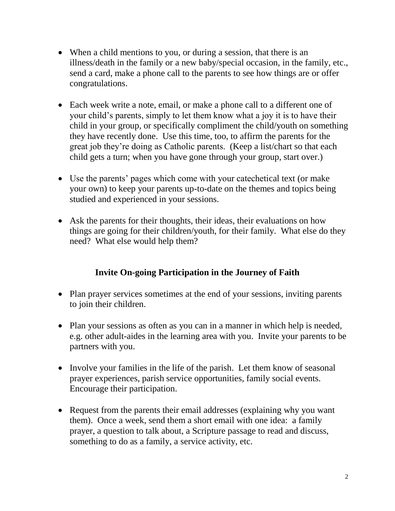- When a child mentions to you, or during a session, that there is an illness/death in the family or a new baby/special occasion, in the family, etc., send a card, make a phone call to the parents to see how things are or offer congratulations.
- Each week write a note, email, or make a phone call to a different one of your child's parents, simply to let them know what a joy it is to have their child in your group, or specifically compliment the child/youth on something they have recently done. Use this time, too, to affirm the parents for the great job they're doing as Catholic parents. (Keep a list/chart so that each child gets a turn; when you have gone through your group, start over.)
- Use the parents' pages which come with your catechetical text (or make your own) to keep your parents up-to-date on the themes and topics being studied and experienced in your sessions.
- Ask the parents for their thoughts, their ideas, their evaluations on how things are going for their children/youth, for their family. What else do they need? What else would help them?

## **Invite On-going Participation in the Journey of Faith**

- Plan prayer services sometimes at the end of your sessions, inviting parents to join their children.
- Plan your sessions as often as you can in a manner in which help is needed, e.g. other adult-aides in the learning area with you. Invite your parents to be partners with you.
- Involve your families in the life of the parish. Let them know of seasonal prayer experiences, parish service opportunities, family social events. Encourage their participation.
- Request from the parents their email addresses (explaining why you want them). Once a week, send them a short email with one idea: a family prayer, a question to talk about, a Scripture passage to read and discuss, something to do as a family, a service activity, etc.